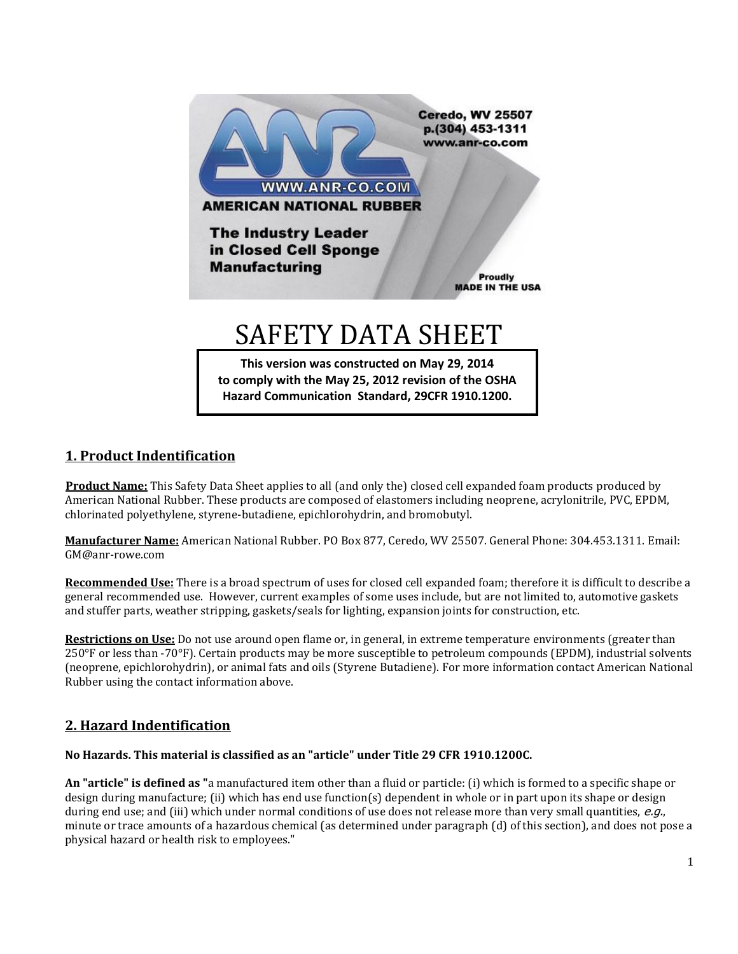

**to comply with the May 25, 2012 revision of the OSHA Hazard Communication Standard, 29CFR 1910.1200.**

#### **1. Product Indentification**

 **Product Name:** This Safety Data Sheet applies to all (and only the) closed cell expanded foam products produced by American National Rubber. These products are composed of elastomers including neoprene, acrylonitrile, PVC, EPDM, chlorinated polyethylene, styrene-butadiene, epichlorohydrin, and bromobutyl.

**Manufacturer Name:** American National Rubber. PO Box 877, Ceredo, WV 25507. General Phone: 304.453.1311. Email: GM@anr-rowe.com

**Recommended Use:** There is a broad spectrum of uses for closed cell expanded foam; therefore it is difficult to describe a general recommended use. However, current examples of some uses include, but are not limited to, automotive gaskets and stuffer parts, weather stripping, gaskets/seals for lighting, expansion joints for construction, etc.

**Restrictions on Use:** Do not use around open flame or, in general, in extreme temperature environments (greater than 250°F or less than -70°F). Certain products may be more susceptible to petroleum compounds (EPDM), industrial solvents (neoprene, epichlorohydrin), or animal fats and oils (Styrene Butadiene). For more information contact American National Rubber using the contact information above.

# **2. Hazard Indentification**

#### **No Hazards. This material is classified as an "article" under Title 29 CFR 1910.1200C.**

**An "article" is defined as "**a manufactured item other than a fluid or particle: (i) which is formed to a specific shape or design during manufacture; (ii) which has end use function(s) dependent in whole or in part upon its shape or design during end use; and (iii) which under normal conditions of use does not release more than very small quantities,  $e.g.,$ minute or trace amounts of a hazardous chemical (as determined under paragraph (d) of this section), and does not pose a physical hazard or health risk to employees."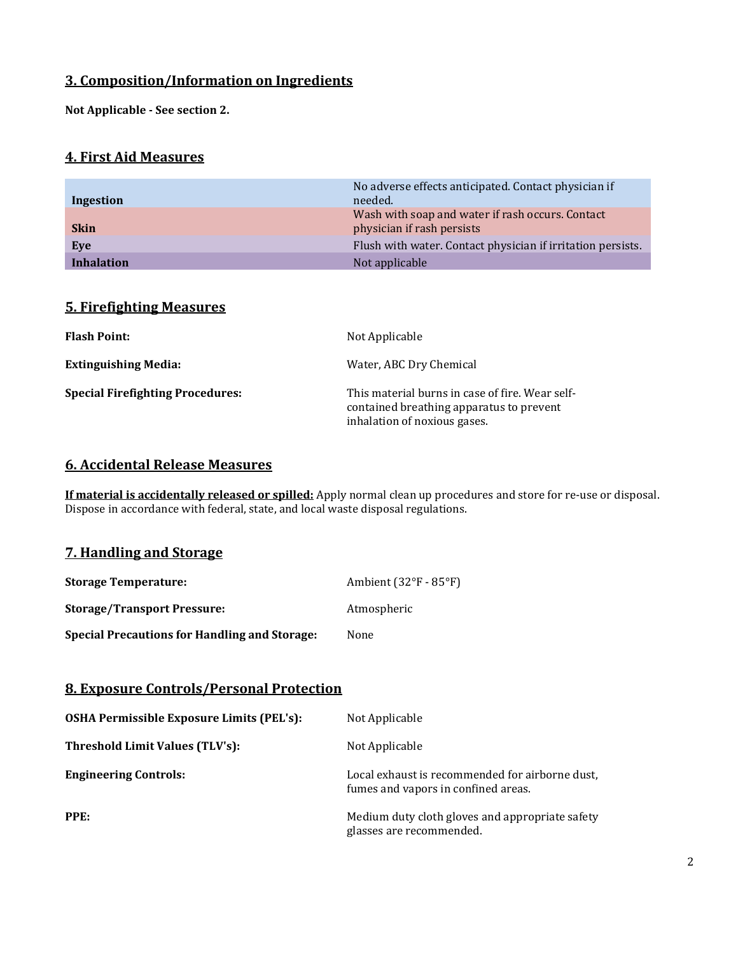# **3. Composition/Information on Ingredients**

**Not Applicable - See section 2.**

## **4. First Aid Measures**

| Ingestion         | No adverse effects anticipated. Contact physician if<br>needed.                |
|-------------------|--------------------------------------------------------------------------------|
| <b>Skin</b>       | Wash with soap and water if rash occurs. Contact<br>physician if rash persists |
| Eve               | Flush with water. Contact physician if irritation persists.                    |
| <b>Inhalation</b> | Not applicable                                                                 |

# **5. Firefighting Measures**

| <b>Flash Point:</b>                     | Not Applicable                                                                                                              |
|-----------------------------------------|-----------------------------------------------------------------------------------------------------------------------------|
| <b>Extinguishing Media:</b>             | Water, ABC Dry Chemical                                                                                                     |
| <b>Special Firefighting Procedures:</b> | This material burns in case of fire. Wear self-<br>contained breathing apparatus to prevent<br>inhalation of noxious gases. |

#### **6. Accidental Release Measures**

**If material is accidentally released or spilled:** Apply normal clean up procedures and store for re-use or disposal. Dispose in accordance with federal, state, and local waste disposal regulations.

# **7. Handling and Storage**

| <b>Storage Temperature:</b>                          | Ambient $(32^{\circ}F - 85^{\circ}F)$ |
|------------------------------------------------------|---------------------------------------|
| <b>Storage/Transport Pressure:</b>                   | Atmospheric                           |
| <b>Special Precautions for Handling and Storage:</b> | None                                  |

## **8. Exposure Controls/Personal Protection**

| OSHA Permissible Exposure Limits (PEL's): | Not Applicable                                                                         |
|-------------------------------------------|----------------------------------------------------------------------------------------|
| Threshold Limit Values (TLV's):           | Not Applicable                                                                         |
| <b>Engineering Controls:</b>              | Local exhaust is recommended for airborne dust,<br>fumes and vapors in confined areas. |
| PPE:                                      | Medium duty cloth gloves and appropriate safety<br>glasses are recommended.            |